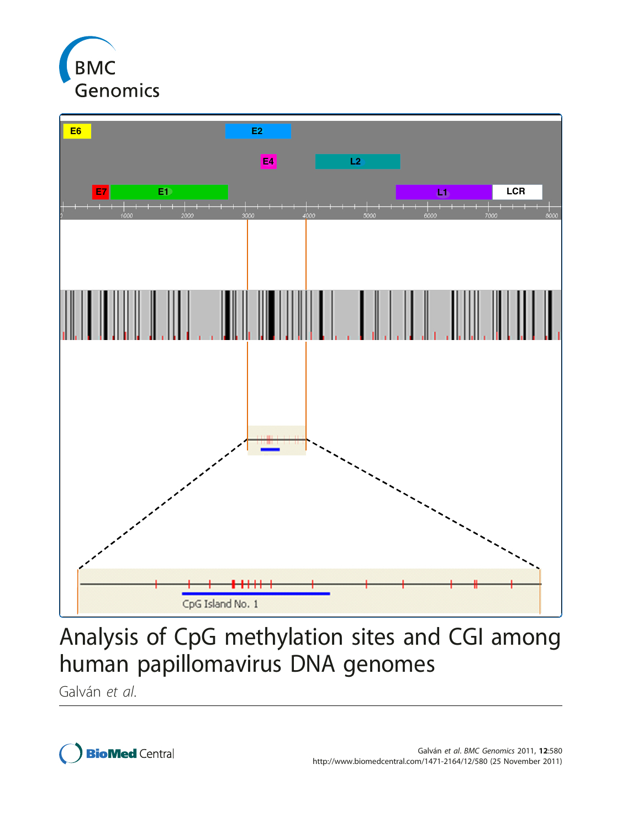



# Analysis of CpG methylation sites and CGI among human papillomavirus DNA genomes

Galván et al.

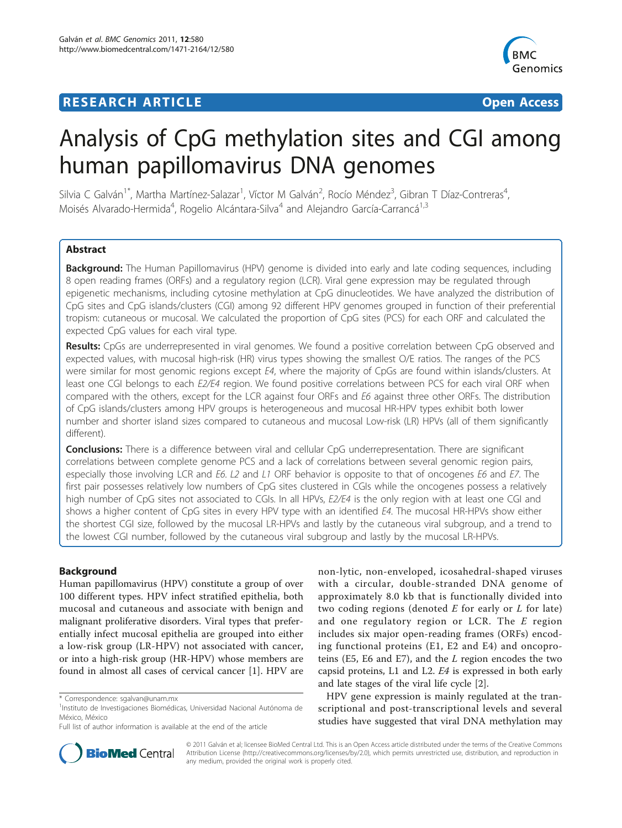# **RESEARCH ARTICLE Example 2018 CONSUMING ACCESS**



# Analysis of CpG methylation sites and CGI among human papillomavirus DNA genomes

Silvia C Galván<sup>1\*</sup>, Martha Martínez-Salazar<sup>1</sup>, Víctor M Galván<sup>2</sup>, Rocío Méndez<sup>3</sup>, Gibran T Díaz-Contreras<sup>4</sup> , Moisés Alvarado-Hermida<sup>4</sup>, Rogelio Alcántara-Silva<sup>4</sup> and Alejandro García-Carrancá<sup>1,3</sup>

# Abstract

Background: The Human Papillomavirus (HPV) genome is divided into early and late coding sequences, including 8 open reading frames (ORFs) and a regulatory region (LCR). Viral gene expression may be regulated through epigenetic mechanisms, including cytosine methylation at CpG dinucleotides. We have analyzed the distribution of CpG sites and CpG islands/clusters (CGI) among 92 different HPV genomes grouped in function of their preferential tropism: cutaneous or mucosal. We calculated the proportion of CpG sites (PCS) for each ORF and calculated the expected CpG values for each viral type.

Results: CpGs are underrepresented in viral genomes. We found a positive correlation between CpG observed and expected values, with mucosal high-risk (HR) virus types showing the smallest O/E ratios. The ranges of the PCS were similar for most genomic regions except E4, where the majority of CpGs are found within islands/clusters. At least one CGI belongs to each E2/E4 region. We found positive correlations between PCS for each viral ORF when compared with the others, except for the LCR against four ORFs and E6 against three other ORFs. The distribution of CpG islands/clusters among HPV groups is heterogeneous and mucosal HR-HPV types exhibit both lower number and shorter island sizes compared to cutaneous and mucosal Low-risk (LR) HPVs (all of them significantly different).

**Conclusions:** There is a difference between viral and cellular CpG underrepresentation. There are significant correlations between complete genome PCS and a lack of correlations between several genomic region pairs, especially those involving LCR and E6. L2 and L1 ORF behavior is opposite to that of oncogenes E6 and E7. The first pair possesses relatively low numbers of CpG sites clustered in CGIs while the oncogenes possess a relatively high number of CpG sites not associated to CGIs. In all HPVs, E2/E4 is the only region with at least one CGI and shows a higher content of CpG sites in every HPV type with an identified E4. The mucosal HR-HPVs show either the shortest CGI size, followed by the mucosal LR-HPVs and lastly by the cutaneous viral subgroup, and a trend to the lowest CGI number, followed by the cutaneous viral subgroup and lastly by the mucosal LR-HPVs.

# Background

Human papillomavirus (HPV) constitute a group of over 100 different types. HPV infect stratified epithelia, both mucosal and cutaneous and associate with benign and malignant proliferative disorders. Viral types that preferentially infect mucosal epithelia are grouped into either a low-risk group (LR-HPV) not associated with cancer, or into a high-risk group (HR-HPV) whose members are found in almost all cases of cervical cancer [\[1](#page-9-0)]. HPV are

non-lytic, non-enveloped, icosahedral-shaped viruses with a circular, double-stranded DNA genome of approximately 8.0 kb that is functionally divided into two coding regions (denoted  $E$  for early or  $L$  for late) and one regulatory region or LCR. The  $E$  region includes six major open-reading frames (ORFs) encoding functional proteins (E1, E2 and E4) and oncoproteins (E5, E6 and E7), and the L region encodes the two capsid proteins, L1 and L2. E4 is expressed in both early and late stages of the viral life cycle [\[2\]](#page-9-0).

HPV gene expression is mainly regulated at the transcriptional and post-transcriptional levels and several studies have suggested that viral DNA methylation may



© 2011 Galván et al; licensee BioMed Central Ltd. This is an Open Access article distributed under the terms of the Creative Commons Attribution License [\(http://creativecommons.org/licenses/by/2.0](http://creativecommons.org/licenses/by/2.0)), which permits unrestricted use, distribution, and reproduction in any medium, provided the original work is properly cited.

<sup>\*</sup> Correspondence: [sgalvan@unam.mx](mailto:sgalvan@unam.mx)

<sup>&</sup>lt;sup>1</sup>Instituto de Investigaciones Biomédicas, Universidad Nacional Autónoma de México, México

Full list of author information is available at the end of the article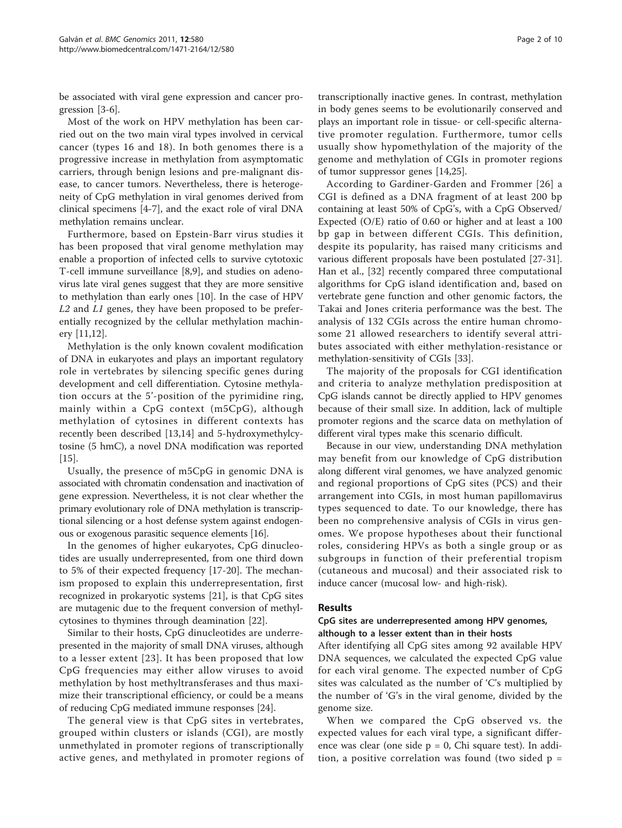be associated with viral gene expression and cancer progression [\[3](#page-9-0)-[6\]](#page-9-0).

Most of the work on HPV methylation has been carried out on the two main viral types involved in cervical cancer (types 16 and 18). In both genomes there is a progressive increase in methylation from asymptomatic carriers, through benign lesions and pre-malignant disease, to cancer tumors. Nevertheless, there is heterogeneity of CpG methylation in viral genomes derived from clinical specimens [\[4](#page-9-0)-[7\]](#page-9-0), and the exact role of viral DNA methylation remains unclear.

Furthermore, based on Epstein-Barr virus studies it has been proposed that viral genome methylation may enable a proportion of infected cells to survive cytotoxic T-cell immune surveillance [[8,9](#page-9-0)], and studies on adenovirus late viral genes suggest that they are more sensitive to methylation than early ones [\[10](#page-9-0)]. In the case of HPV  $L2$  and  $L1$  genes, they have been proposed to be preferentially recognized by the cellular methylation machinery [[11,12](#page-9-0)].

Methylation is the only known covalent modification of DNA in eukaryotes and plays an important regulatory role in vertebrates by silencing specific genes during development and cell differentiation. Cytosine methylation occurs at the 5'-position of the pyrimidine ring, mainly within a CpG context (m5CpG), although methylation of cytosines in different contexts has recently been described [\[13,14](#page-9-0)] and 5-hydroxymethylcytosine (5 hmC), a novel DNA modification was reported [[15\]](#page-9-0).

Usually, the presence of m5CpG in genomic DNA is associated with chromatin condensation and inactivation of gene expression. Nevertheless, it is not clear whether the primary evolutionary role of DNA methylation is transcriptional silencing or a host defense system against endogenous or exogenous parasitic sequence elements [[16](#page-9-0)].

In the genomes of higher eukaryotes, CpG dinucleotides are usually underrepresented, from one third down to 5% of their expected frequency [\[17](#page-9-0)-[20\]](#page-9-0). The mechanism proposed to explain this underrepresentation, first recognized in prokaryotic systems [\[21\]](#page-9-0), is that CpG sites are mutagenic due to the frequent conversion of methylcytosines to thymines through deamination [\[22\]](#page-9-0).

Similar to their hosts, CpG dinucleotides are underrepresented in the majority of small DNA viruses, although to a lesser extent [[23\]](#page-9-0). It has been proposed that low CpG frequencies may either allow viruses to avoid methylation by host methyltransferases and thus maximize their transcriptional efficiency, or could be a means of reducing CpG mediated immune responses [\[24\]](#page-9-0).

The general view is that CpG sites in vertebrates, grouped within clusters or islands (CGI), are mostly unmethylated in promoter regions of transcriptionally active genes, and methylated in promoter regions of

transcriptionally inactive genes. In contrast, methylation in body genes seems to be evolutionarily conserved and plays an important role in tissue- or cell-specific alternative promoter regulation. Furthermore, tumor cells usually show hypomethylation of the majority of the genome and methylation of CGIs in promoter regions of tumor suppressor genes [\[14,25](#page-9-0)].

According to Gardiner-Garden and Frommer [[26](#page-9-0)] a CGI is defined as a DNA fragment of at least 200 bp containing at least 50% of CpG's, with a CpG Observed/ Expected (O/E) ratio of 0.60 or higher and at least a 100 bp gap in between different CGIs. This definition, despite its popularity, has raised many criticisms and various different proposals have been postulated [\[27-31](#page-9-0)]. Han et al., [\[32](#page-9-0)] recently compared three computational algorithms for CpG island identification and, based on vertebrate gene function and other genomic factors, the Takai and Jones criteria performance was the best. The analysis of 132 CGIs across the entire human chromosome 21 allowed researchers to identify several attributes associated with either methylation-resistance or methylation-sensitivity of CGIs [\[33](#page-9-0)].

The majority of the proposals for CGI identification and criteria to analyze methylation predisposition at CpG islands cannot be directly applied to HPV genomes because of their small size. In addition, lack of multiple promoter regions and the scarce data on methylation of different viral types make this scenario difficult.

Because in our view, understanding DNA methylation may benefit from our knowledge of CpG distribution along different viral genomes, we have analyzed genomic and regional proportions of CpG sites (PCS) and their arrangement into CGIs, in most human papillomavirus types sequenced to date. To our knowledge, there has been no comprehensive analysis of CGIs in virus genomes. We propose hypotheses about their functional roles, considering HPVs as both a single group or as subgroups in function of their preferential tropism (cutaneous and mucosal) and their associated risk to induce cancer (mucosal low- and high-risk).

#### Results

#### CpG sites are underrepresented among HPV genomes, although to a lesser extent than in their hosts

After identifying all CpG sites among 92 available HPV DNA sequences, we calculated the expected CpG value for each viral genome. The expected number of CpG sites was calculated as the number of 'C's multiplied by the number of 'G's in the viral genome, divided by the genome size.

When we compared the CpG observed vs. the expected values for each viral type, a significant difference was clear (one side  $p = 0$ , Chi square test). In addition, a positive correlation was found (two sided  $p =$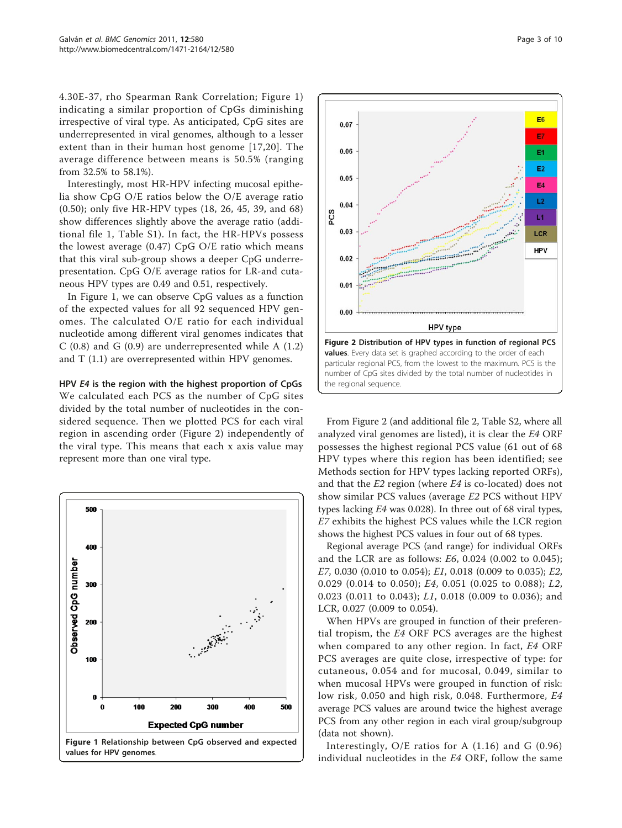4.30E-37, rho Spearman Rank Correlation; Figure 1) indicating a similar proportion of CpGs diminishing irrespective of viral type. As anticipated, CpG sites are underrepresented in viral genomes, although to a lesser extent than in their human host genome [[17,20](#page-9-0)]. The average difference between means is 50.5% (ranging from 32.5% to 58.1%).

Interestingly, most HR-HPV infecting mucosal epithelia show CpG O/E ratios below the O/E average ratio (0.50); only five HR-HPV types (18, 26, 45, 39, and 68) show differences slightly above the average ratio (additional file [1](#page-8-0), Table S1). In fact, the HR-HPVs possess the lowest average (0.47) CpG O/E ratio which means that this viral sub-group shows a deeper CpG underrepresentation. CpG O/E average ratios for LR-and cutaneous HPV types are 0.49 and 0.51, respectively.

In Figure 1, we can observe CpG values as a function of the expected values for all 92 sequenced HPV genomes. The calculated O/E ratio for each individual nucleotide among different viral genomes indicates that C  $(0.8)$  and G  $(0.9)$  are underrepresented while A  $(1.2)$ and T (1.1) are overrepresented within HPV genomes.

HPV E4 is the region with the highest proportion of CpGs We calculated each PCS as the number of CpG sites divided by the total number of nucleotides in the considered sequence. Then we plotted PCS for each viral region in ascending order (Figure 2) independently of the viral type. This means that each x axis value may represent more than one viral type.





From Figure 2 (and additional file [2,](#page-8-0) Table S2, where all analyzed viral genomes are listed), it is clear the E4 ORF possesses the highest regional PCS value (61 out of 68 HPV types where this region has been identified; see Methods section for HPV types lacking reported ORFs), and that the E2 region (where E4 is co-located) does not show similar PCS values (average E2 PCS without HPV types lacking E4 was 0.028). In three out of 68 viral types, E7 exhibits the highest PCS values while the LCR region shows the highest PCS values in four out of 68 types.

Regional average PCS (and range) for individual ORFs and the LCR are as follows: E6, 0.024 (0.002 to 0.045); E7, 0.030 (0.010 to 0.054); E1, 0.018 (0.009 to 0.035); E2, 0.029 (0.014 to 0.050); E4, 0.051 (0.025 to 0.088); L2, 0.023 (0.011 to 0.043); L1, 0.018 (0.009 to 0.036); and LCR, 0.027 (0.009 to 0.054).

When HPVs are grouped in function of their preferential tropism, the E4 ORF PCS averages are the highest when compared to any other region. In fact, E4 ORF PCS averages are quite close, irrespective of type: for cutaneous, 0.054 and for mucosal, 0.049, similar to when mucosal HPVs were grouped in function of risk: low risk, 0.050 and high risk, 0.048. Furthermore, E4 average PCS values are around twice the highest average PCS from any other region in each viral group/subgroup (data not shown).

Interestingly, O/E ratios for A (1.16) and G (0.96) individual nucleotides in the E4 ORF, follow the same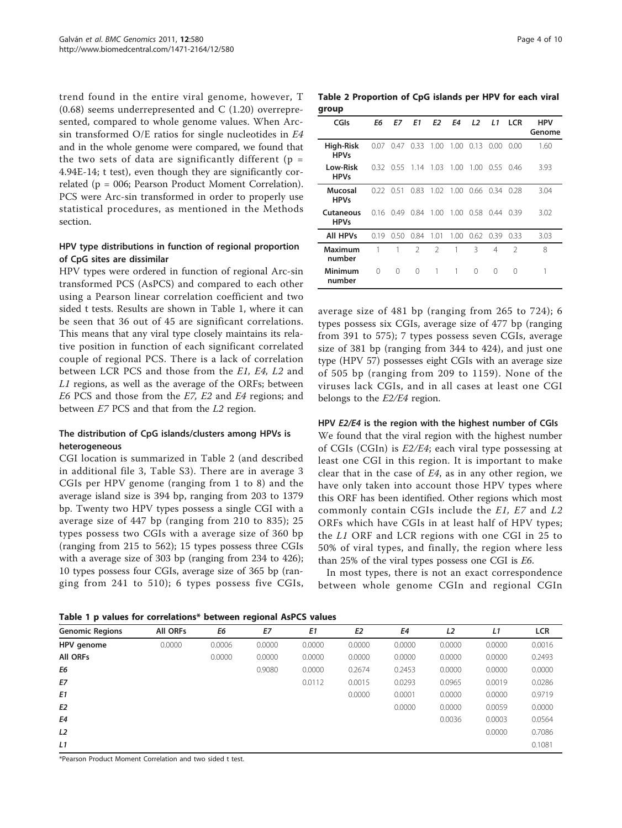<span id="page-4-0"></span>trend found in the entire viral genome, however, T  $(0.68)$  seems underrepresented and C  $(1.20)$  overrepresented, compared to whole genome values. When Arcsin transformed O/E ratios for single nucleotides in E4 and in the whole genome were compared, we found that the two sets of data are significantly different ( $p =$ 4.94E-14; t test), even though they are significantly correlated (p = 006; Pearson Product Moment Correlation). PCS were Arc-sin transformed in order to properly use statistical procedures, as mentioned in the Methods section.

### HPV type distributions in function of regional proportion of CpG sites are dissimilar

HPV types were ordered in function of regional Arc-sin transformed PCS (AsPCS) and compared to each other using a Pearson linear correlation coefficient and two sided t tests. Results are shown in Table 1, where it can be seen that 36 out of 45 are significant correlations. This means that any viral type closely maintains its relative position in function of each significant correlated couple of regional PCS. There is a lack of correlation between LCR PCS and those from the E1, E4, L2 and L1 regions, as well as the average of the ORFs; between E6 PCS and those from the E7, E2 and E4 regions; and between E7 PCS and that from the L2 region.

# The distribution of CpG islands/clusters among HPVs is heterogeneous

CGI location is summarized in Table 2 (and described in additional file [3,](#page-8-0) Table S3). There are in average 3 CGIs per HPV genome (ranging from 1 to 8) and the average island size is 394 bp, ranging from 203 to 1379 bp. Twenty two HPV types possess a single CGI with a average size of 447 bp (ranging from 210 to 835); 25 types possess two CGIs with a average size of 360 bp (ranging from 215 to 562); 15 types possess three CGIs with a average size of 303 bp (ranging from 234 to 426); 10 types possess four CGIs, average size of 365 bp (ranging from 241 to 510); 6 types possess five CGIs,

Table 2 Proportion of CpG islands per HPV for each viral group

| CGIs                     | Eб   | E7       | E1             | E2             | E4    | L <sub>2</sub> | L1       | <b>LCR</b>    | <b>HPV</b><br>Genome |
|--------------------------|------|----------|----------------|----------------|-------|----------------|----------|---------------|----------------------|
| High-Risk<br><b>HPVs</b> | 0.07 | 0.47     | 0.33           | 1.00           | 1.00  | 0.13           | 0.00     | -0.00         | 1.60                 |
| Low-Risk<br><b>HPVs</b>  | 0.32 | 0.55     | 1.14           | 1.03           | 1.00  | 1.00           | 0.55     | 0.46          | 3.93                 |
| Mucosal<br><b>HPVs</b>   | 0.22 | 0.51     | 0.83           | 1.02           | 1.00  | 0.66           | 0.34     | 0.28          | 3.04                 |
| Cutaneous<br><b>HPVs</b> | 0.16 | 0.49     | 0.84           | 1.00           | 1.00  | 0.58           | 0.44     | 0.39          | 3.02                 |
| <b>All HPVs</b>          | 0.19 | 0.50     | 0.84           | 1.01           | 1.00. | $0.62$ 0.39    |          | 0.33          | 3.03                 |
| Maximum<br>number        | 1    | 1        | $\mathfrak{D}$ | $\mathfrak{D}$ | 1     | 3              | 4        | $\mathcal{P}$ | 8                    |
| Minimum<br>number        | 0    | $\Omega$ | 0              | 1              | 1     | $\Omega$       | $\Omega$ | $\Omega$      | 1                    |

average size of 481 bp (ranging from 265 to 724); 6 types possess six CGIs, average size of 477 bp (ranging from 391 to 575); 7 types possess seven CGIs, average size of 381 bp (ranging from 344 to 424), and just one type (HPV 57) possesses eight CGIs with an average size of 505 bp (ranging from 209 to 1159). None of the viruses lack CGIs, and in all cases at least one CGI belongs to the E2/E4 region.

#### HPV E2/E4 is the region with the highest number of CGIs

We found that the viral region with the highest number of CGIs (CGIn) is  $E2/E4$ ; each viral type possessing at least one CGI in this region. It is important to make clear that in the case of  $E4$ , as in any other region, we have only taken into account those HPV types where this ORF has been identified. Other regions which most commonly contain CGIs include the E1, E7 and L2 ORFs which have CGIs in at least half of HPV types; the L1 ORF and LCR regions with one CGI in 25 to 50% of viral types, and finally, the region where less than 25% of the viral types possess one CGI is E6.

In most types, there is not an exact correspondence between whole genome CGIn and regional CGIn

Table 1 p values for correlations\* between regional AsPCS values

| <b>Genomic Regions</b> | <b>All ORFs</b> | E6     | E7     | E1     | E <sub>2</sub> | E4     | L <sub>2</sub> | L1     | <b>LCR</b> |
|------------------------|-----------------|--------|--------|--------|----------------|--------|----------------|--------|------------|
| HPV genome             | 0.0000          | 0.0006 | 0.0000 | 0.0000 | 0.0000         | 0.0000 | 0.0000         | 0.0000 | 0.0016     |
| <b>All ORFs</b>        |                 | 0.0000 | 0.0000 | 0.0000 | 0.0000         | 0.0000 | 0.0000         | 0.0000 | 0.2493     |
| E6                     |                 |        | 0.9080 | 0.0000 | 0.2674         | 0.2453 | 0.0000         | 0.0000 | 0.0000     |
| E7                     |                 |        |        | 0.0112 | 0.0015         | 0.0293 | 0.0965         | 0.0019 | 0.0286     |
| E <sub>1</sub>         |                 |        |        |        | 0.0000         | 0.0001 | 0.0000         | 0.0000 | 0.9719     |
| E <sub>2</sub>         |                 |        |        |        |                | 0.0000 | 0.0000         | 0.0059 | 0.0000     |
| E4                     |                 |        |        |        |                |        | 0.0036         | 0.0003 | 0.0564     |
| L2                     |                 |        |        |        |                |        |                | 0.0000 | 0.7086     |
| L1                     |                 |        |        |        |                |        |                |        | 0.1081     |

\*Pearson Product Moment Correlation and two sided t test.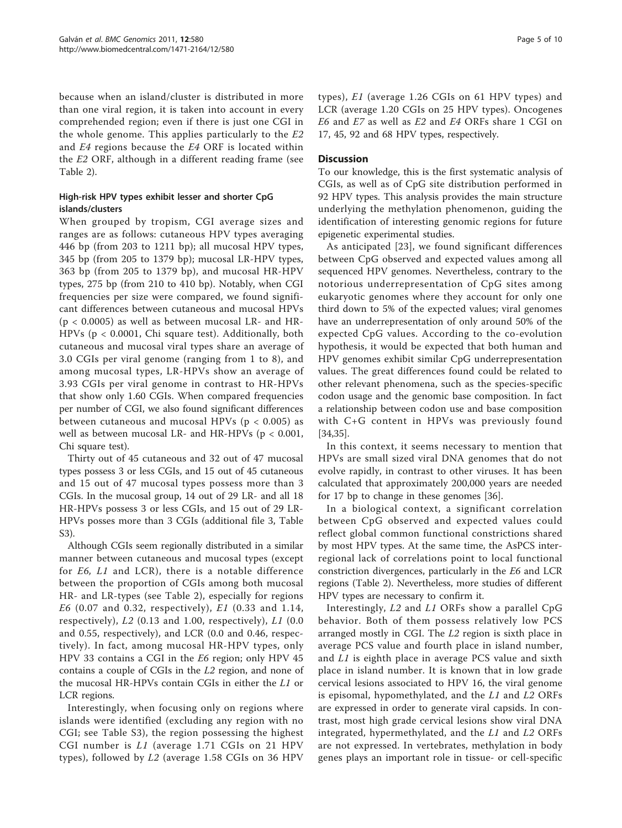because when an island/cluster is distributed in more than one viral region, it is taken into account in every comprehended region; even if there is just one CGI in the whole genome. This applies particularly to the E2 and E4 regions because the E4 ORF is located within the E2 ORF, although in a different reading frame (see Table [2\)](#page-4-0).

# High-risk HPV types exhibit lesser and shorter CpG islands/clusters

When grouped by tropism, CGI average sizes and ranges are as follows: cutaneous HPV types averaging 446 bp (from 203 to 1211 bp); all mucosal HPV types, 345 bp (from 205 to 1379 bp); mucosal LR-HPV types, 363 bp (from 205 to 1379 bp), and mucosal HR-HPV types, 275 bp (from 210 to 410 bp). Notably, when CGI frequencies per size were compared, we found significant differences between cutaneous and mucosal HPVs  $(p < 0.0005)$  as well as between mucosal LR- and HR-HPVs (p < 0.0001, Chi square test). Additionally, both cutaneous and mucosal viral types share an average of 3.0 CGIs per viral genome (ranging from 1 to 8), and among mucosal types, LR-HPVs show an average of 3.93 CGIs per viral genome in contrast to HR-HPVs that show only 1.60 CGIs. When compared frequencies per number of CGI, we also found significant differences between cutaneous and mucosal HPVs ( $p < 0.005$ ) as well as between mucosal LR- and HR-HPVs (p < 0.001, Chi square test).

Thirty out of 45 cutaneous and 32 out of 47 mucosal types possess 3 or less CGIs, and 15 out of 45 cutaneous and 15 out of 47 mucosal types possess more than 3 CGIs. In the mucosal group, 14 out of 29 LR- and all 18 HR-HPVs possess 3 or less CGIs, and 15 out of 29 LR-HPVs posses more than 3 CGIs (additional file [3,](#page-8-0) Table S3).

Although CGIs seem regionally distributed in a similar manner between cutaneous and mucosal types (except for E6, L1 and LCR), there is a notable difference between the proportion of CGIs among both mucosal HR- and LR-types (see Table [2\)](#page-4-0), especially for regions E6 (0.07 and 0.32, respectively), E1 (0.33 and 1.14, respectively), L2 (0.13 and 1.00, respectively), L1 (0.0 and 0.55, respectively), and LCR (0.0 and 0.46, respectively). In fact, among mucosal HR-HPV types, only HPV 33 contains a CGI in the E6 region; only HPV 45 contains a couple of CGIs in the L2 region, and none of the mucosal HR-HPVs contain CGIs in either the L1 or LCR regions.

Interestingly, when focusing only on regions where islands were identified (excluding any region with no CGI; see Table S3), the region possessing the highest CGI number is L1 (average 1.71 CGIs on 21 HPV types), followed by L2 (average 1.58 CGIs on 36 HPV types), E1 (average 1.26 CGIs on 61 HPV types) and LCR (average 1.20 CGIs on 25 HPV types). Oncogenes E6 and E7 as well as E2 and E4 ORFs share 1 CGI on 17, 45, 92 and 68 HPV types, respectively.

# **Discussion**

To our knowledge, this is the first systematic analysis of CGIs, as well as of CpG site distribution performed in 92 HPV types. This analysis provides the main structure underlying the methylation phenomenon, guiding the identification of interesting genomic regions for future epigenetic experimental studies.

As anticipated [[23\]](#page-9-0), we found significant differences between CpG observed and expected values among all sequenced HPV genomes. Nevertheless, contrary to the notorious underrepresentation of CpG sites among eukaryotic genomes where they account for only one third down to 5% of the expected values; viral genomes have an underrepresentation of only around 50% of the expected CpG values. According to the co-evolution hypothesis, it would be expected that both human and HPV genomes exhibit similar CpG underrepresentation values. The great differences found could be related to other relevant phenomena, such as the species-specific codon usage and the genomic base composition. In fact a relationship between codon use and base composition with C+G content in HPVs was previously found [[34,35\]](#page-9-0).

In this context, it seems necessary to mention that HPVs are small sized viral DNA genomes that do not evolve rapidly, in contrast to other viruses. It has been calculated that approximately 200,000 years are needed for 17 bp to change in these genomes [[36\]](#page-9-0).

In a biological context, a significant correlation between CpG observed and expected values could reflect global common functional constrictions shared by most HPV types. At the same time, the AsPCS interregional lack of correlations point to local functional constriction divergences, particularly in the E6 and LCR regions (Table [2\)](#page-4-0). Nevertheless, more studies of different HPV types are necessary to confirm it.

Interestingly, L2 and L1 ORFs show a parallel CpG behavior. Both of them possess relatively low PCS arranged mostly in CGI. The L2 region is sixth place in average PCS value and fourth place in island number, and L1 is eighth place in average PCS value and sixth place in island number. It is known that in low grade cervical lesions associated to HPV 16, the viral genome is episomal, hypomethylated, and the  $L1$  and  $L2$  ORFs are expressed in order to generate viral capsids. In contrast, most high grade cervical lesions show viral DNA integrated, hypermethylated, and the  $L1$  and  $L2$  ORFs are not expressed. In vertebrates, methylation in body genes plays an important role in tissue- or cell-specific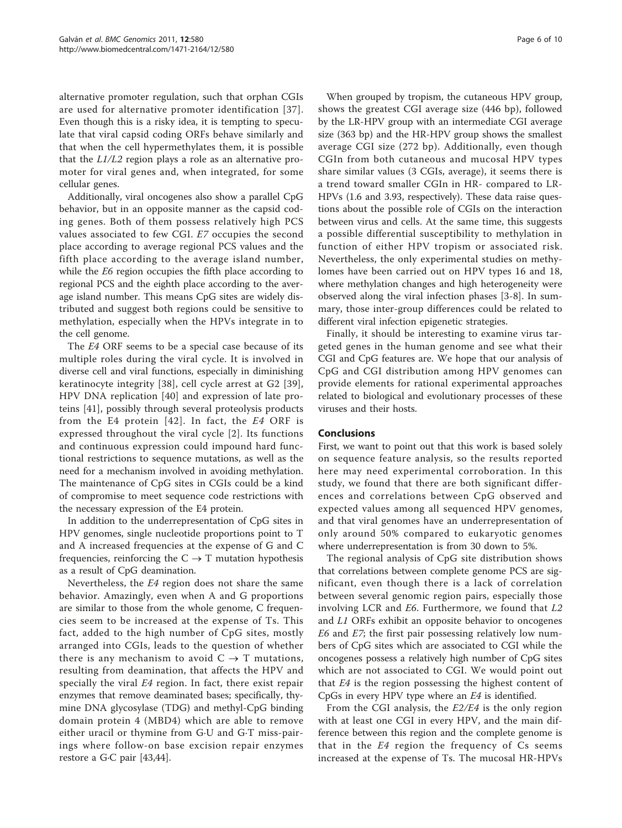alternative promoter regulation, such that orphan CGIs are used for alternative promoter identification [\[37\]](#page-9-0). Even though this is a risky idea, it is tempting to speculate that viral capsid coding ORFs behave similarly and that when the cell hypermethylates them, it is possible that the L1/L2 region plays a role as an alternative promoter for viral genes and, when integrated, for some cellular genes.

Additionally, viral oncogenes also show a parallel CpG behavior, but in an opposite manner as the capsid coding genes. Both of them possess relatively high PCS values associated to few CGI. E7 occupies the second place according to average regional PCS values and the fifth place according to the average island number, while the E6 region occupies the fifth place according to regional PCS and the eighth place according to the average island number. This means CpG sites are widely distributed and suggest both regions could be sensitive to methylation, especially when the HPVs integrate in to the cell genome.

The E4 ORF seems to be a special case because of its multiple roles during the viral cycle. It is involved in diverse cell and viral functions, especially in diminishing keratinocyte integrity [[38\]](#page-9-0), cell cycle arrest at G2 [[39](#page-10-0)], HPV DNA replication [[40](#page-10-0)] and expression of late proteins [[41\]](#page-10-0), possibly through several proteolysis products from the E4 protein [[42\]](#page-10-0). In fact, the E4 ORF is expressed throughout the viral cycle [[2\]](#page-9-0). Its functions and continuous expression could impound hard functional restrictions to sequence mutations, as well as the need for a mechanism involved in avoiding methylation. The maintenance of CpG sites in CGIs could be a kind of compromise to meet sequence code restrictions with the necessary expression of the E4 protein.

In addition to the underrepresentation of CpG sites in HPV genomes, single nucleotide proportions point to T and A increased frequencies at the expense of G and C frequencies, reinforcing the  $C \rightarrow T$  mutation hypothesis as a result of CpG deamination.

Nevertheless, the E4 region does not share the same behavior. Amazingly, even when A and G proportions are similar to those from the whole genome, C frequencies seem to be increased at the expense of Ts. This fact, added to the high number of CpG sites, mostly arranged into CGIs, leads to the question of whether there is any mechanism to avoid  $C \rightarrow T$  mutations, resulting from deamination, that affects the HPV and specially the viral E4 region. In fact, there exist repair enzymes that remove deaminated bases; specifically, thymine DNA glycosylase (TDG) and methyl-CpG binding domain protein 4 (MBD4) which are able to remove either uracil or thymine from G·U and G·T miss-pairings where follow-on base excision repair enzymes restore a G·C pair [[43,44\]](#page-10-0).

When grouped by tropism, the cutaneous HPV group, shows the greatest CGI average size (446 bp), followed by the LR-HPV group with an intermediate CGI average size (363 bp) and the HR-HPV group shows the smallest average CGI size (272 bp). Additionally, even though CGIn from both cutaneous and mucosal HPV types share similar values (3 CGIs, average), it seems there is a trend toward smaller CGIn in HR- compared to LR-HPVs (1.6 and 3.93, respectively). These data raise questions about the possible role of CGIs on the interaction between virus and cells. At the same time, this suggests a possible differential susceptibility to methylation in function of either HPV tropism or associated risk. Nevertheless, the only experimental studies on methylomes have been carried out on HPV types 16 and 18, where methylation changes and high heterogeneity were observed along the viral infection phases [[3-8](#page-9-0)]. In summary, those inter-group differences could be related to different viral infection epigenetic strategies.

Finally, it should be interesting to examine virus targeted genes in the human genome and see what their CGI and CpG features are. We hope that our analysis of CpG and CGI distribution among HPV genomes can provide elements for rational experimental approaches related to biological and evolutionary processes of these viruses and their hosts.

#### Conclusions

First, we want to point out that this work is based solely on sequence feature analysis, so the results reported here may need experimental corroboration. In this study, we found that there are both significant differences and correlations between CpG observed and expected values among all sequenced HPV genomes, and that viral genomes have an underrepresentation of only around 50% compared to eukaryotic genomes where underrepresentation is from 30 down to 5%.

The regional analysis of CpG site distribution shows that correlations between complete genome PCS are significant, even though there is a lack of correlation between several genomic region pairs, especially those involving LCR and E6. Furthermore, we found that L2 and L1 ORFs exhibit an opposite behavior to oncogenes E6 and E7; the first pair possessing relatively low numbers of CpG sites which are associated to CGI while the oncogenes possess a relatively high number of CpG sites which are not associated to CGI. We would point out that E4 is the region possessing the highest content of CpGs in every HPV type where an E4 is identified.

From the CGI analysis, the E2/E4 is the only region with at least one CGI in every HPV, and the main difference between this region and the complete genome is that in the  $E4$  region the frequency of  $Cs$  seems increased at the expense of Ts. The mucosal HR-HPVs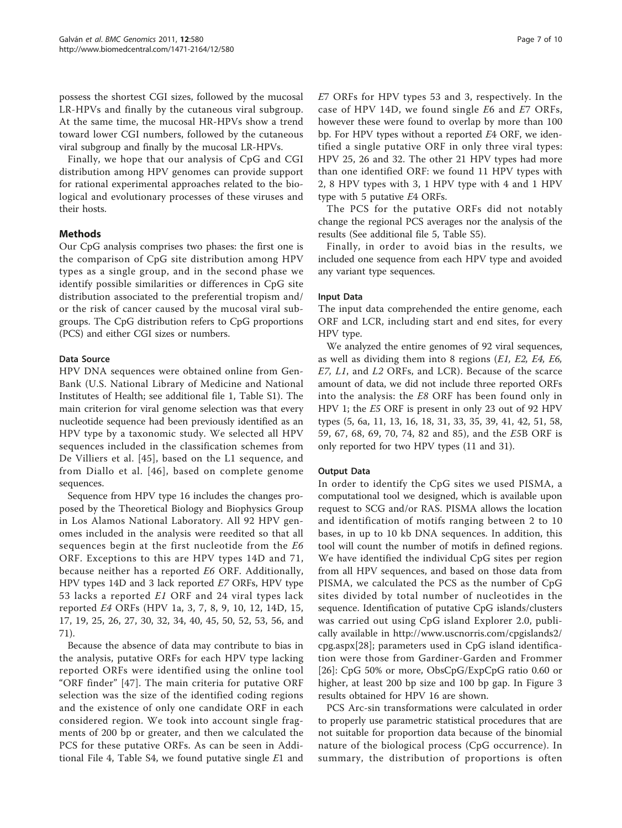possess the shortest CGI sizes, followed by the mucosal LR-HPVs and finally by the cutaneous viral subgroup. At the same time, the mucosal HR-HPVs show a trend toward lower CGI numbers, followed by the cutaneous viral subgroup and finally by the mucosal LR-HPVs.

Finally, we hope that our analysis of CpG and CGI distribution among HPV genomes can provide support for rational experimental approaches related to the biological and evolutionary processes of these viruses and their hosts.

# Methods

Our CpG analysis comprises two phases: the first one is the comparison of CpG site distribution among HPV types as a single group, and in the second phase we identify possible similarities or differences in CpG site distribution associated to the preferential tropism and/ or the risk of cancer caused by the mucosal viral subgroups. The CpG distribution refers to CpG proportions (PCS) and either CGI sizes or numbers.

#### Data Source

HPV DNA sequences were obtained online from Gen-Bank (U.S. National Library of Medicine and National Institutes of Health; see additional file [1,](#page-8-0) Table S1). The main criterion for viral genome selection was that every nucleotide sequence had been previously identified as an HPV type by a taxonomic study. We selected all HPV sequences included in the classification schemes from De Villiers et al. [[45\]](#page-10-0), based on the L1 sequence, and from Diallo et al. [[46](#page-10-0)], based on complete genome sequences.

Sequence from HPV type 16 includes the changes proposed by the Theoretical Biology and Biophysics Group in Los Alamos National Laboratory. All 92 HPV genomes included in the analysis were reedited so that all sequences begin at the first nucleotide from the E6 ORF. Exceptions to this are HPV types 14D and 71, because neither has a reported E6 ORF. Additionally, HPV types 14D and 3 lack reported E7 ORFs, HPV type 53 lacks a reported E1 ORF and 24 viral types lack reported E4 ORFs (HPV 1a, 3, 7, 8, 9, 10, 12, 14D, 15, 17, 19, 25, 26, 27, 30, 32, 34, 40, 45, 50, 52, 53, 56, and 71).

Because the absence of data may contribute to bias in the analysis, putative ORFs for each HPV type lacking reported ORFs were identified using the online tool "ORF finder" [\[47\]](#page-10-0). The main criteria for putative ORF selection was the size of the identified coding regions and the existence of only one candidate ORF in each considered region. We took into account single fragments of 200 bp or greater, and then we calculated the PCS for these putative ORFs. As can be seen in Additional File [4](#page-8-0), Table S4, we found putative single E1 and E7 ORFs for HPV types 53 and 3, respectively. In the case of HPV 14D, we found single E6 and E7 ORFs, however these were found to overlap by more than 100 bp. For HPV types without a reported E4 ORF, we identified a single putative ORF in only three viral types: HPV 25, 26 and 32. The other 21 HPV types had more than one identified ORF: we found 11 HPV types with 2, 8 HPV types with 3, 1 HPV type with 4 and 1 HPV type with 5 putative E4 ORFs.

The PCS for the putative ORFs did not notably change the regional PCS averages nor the analysis of the results (See additional file [5,](#page-8-0) Table S5).

Finally, in order to avoid bias in the results, we included one sequence from each HPV type and avoided any variant type sequences.

#### Input Data

The input data comprehended the entire genome, each ORF and LCR, including start and end sites, for every HPV type.

We analyzed the entire genomes of 92 viral sequences, as well as dividing them into 8 regions (E1, E2, E4, E6, E7, L1, and L2 ORFs, and LCR). Because of the scarce amount of data, we did not include three reported ORFs into the analysis: the E8 ORF has been found only in HPV 1; the E5 ORF is present in only 23 out of 92 HPV types (5, 6a, 11, 13, 16, 18, 31, 33, 35, 39, 41, 42, 51, 58, 59, 67, 68, 69, 70, 74, 82 and 85), and the E5B ORF is only reported for two HPV types (11 and 31).

#### Output Data

In order to identify the CpG sites we used PISMA, a computational tool we designed, which is available upon request to SCG and/or RAS. PISMA allows the location and identification of motifs ranging between 2 to 10 bases, in up to 10 kb DNA sequences. In addition, this tool will count the number of motifs in defined regions. We have identified the individual CpG sites per region from all HPV sequences, and based on those data from PISMA, we calculated the PCS as the number of CpG sites divided by total number of nucleotides in the sequence. Identification of putative CpG islands/clusters was carried out using CpG island Explorer 2.0, publically available in [http://www.uscnorris.com/cpgislands2/](http://www.uscnorris.com/cpgislands2/cpg.aspx) [cpg.aspx](http://www.uscnorris.com/cpgislands2/cpg.aspx)[\[28](#page-9-0)]; parameters used in CpG island identification were those from Gardiner-Garden and Frommer [[26\]](#page-9-0): CpG 50% or more, ObsCpG/ExpCpG ratio 0.60 or higher, at least 200 bp size and 100 bp gap. In Figure [3](#page-8-0) results obtained for HPV 16 are shown.

PCS Arc-sin transformations were calculated in order to properly use parametric statistical procedures that are not suitable for proportion data because of the binomial nature of the biological process (CpG occurrence). In summary, the distribution of proportions is often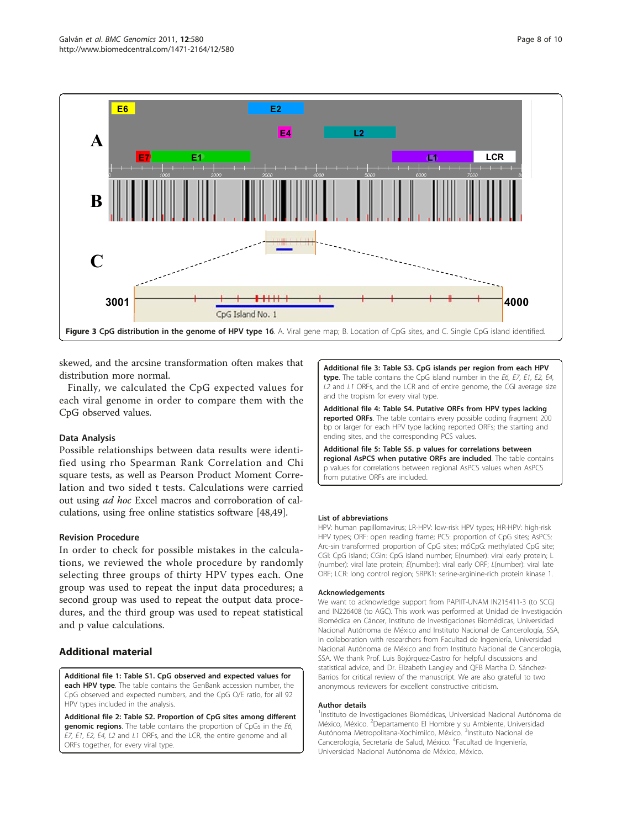<span id="page-8-0"></span>

Page 8 of 10

skewed, and the arcsine transformation often makes that distribution more normal.

Finally, we calculated the CpG expected values for each viral genome in order to compare them with the CpG observed values.

#### Data Analysis

Possible relationships between data results were identified using rho Spearman Rank Correlation and Chi square tests, as well as Pearson Product Moment Correlation and two sided t tests. Calculations were carried out using ad hoc Excel macros and corroboration of calculations, using free online statistics software [[48,49\]](#page-10-0).

#### Revision Procedure

In order to check for possible mistakes in the calculations, we reviewed the whole procedure by randomly selecting three groups of thirty HPV types each. One group was used to repeat the input data procedures; a second group was used to repeat the output data procedures, and the third group was used to repeat statistical and p value calculations.

### Additional material

[Additional file 1: T](http://www.biomedcentral.com/content/supplementary/1471-2164-12-580-S1.XLS)able S1. CpG observed and expected values for each HPV type. The table contains the GenBank accession number, the CpG observed and expected numbers, and the CpG O/E ratio, for all 92 HPV types included in the analysis.

[Additional file 2: T](http://www.biomedcentral.com/content/supplementary/1471-2164-12-580-S2.XLS)able S2. Proportion of CpG sites among different genomic regions. The table contains the proportion of CpGs in the E6, E7, E1, E2, E4, L2 and L1 ORFs, and the LCR, the entire genome and all ORFs together, for every viral type.

[Additional file 3: T](http://www.biomedcentral.com/content/supplementary/1471-2164-12-580-S3.XLS)able S3. CpG islands per region from each HPV type. The table contains the CpG island number in the E6, E7, E1, E2, E4, L2 and L1 ORFs, and the LCR and of entire genome, the CGI average size and the tropism for every viral type.

[Additional file 4: T](http://www.biomedcentral.com/content/supplementary/1471-2164-12-580-S4.XLS)able S4. Putative ORFs from HPV types lacking reported ORFs. The table contains every possible coding fragment 200 bp or larger for each HPV type lacking reported ORFs; the starting and ending sites, and the corresponding PCS values.

[Additional file 5: T](http://www.biomedcentral.com/content/supplementary/1471-2164-12-580-S5.XLS)able S5. p values for correlations between regional AsPCS when putative ORFs are included. The table contains p values for correlations between regional AsPCS values when AsPCS from putative ORFs are included.

#### List of abbreviations

HPV: human papillomavirus; LR-HPV: low-risk HPV types; HR-HPV: high-risk HPV types; ORF: open reading frame; PCS: proportion of CpG sites; AsPCS: Arc-sin transformed proportion of CpG sites; m5CpG: methylated CpG site; CGI: CpG island; CGIn: CpG island number; E(number): viral early protein; L (number): viral late protein; E(number): viral early ORF; L(number): viral late ORF; LCR: long control region; SRPK1: serine-arginine-rich protein kinase 1.

#### Acknowledgements

We want to acknowledge support from PAPIIT-UNAM IN215411-3 (to SCG) and IN226408 (to AGC). This work was performed at Unidad de Investigación Biomédica en Cáncer, Instituto de Investigaciones Biomédicas, Universidad Nacional Autónoma de México and Instituto Nacional de Cancerología, SSA, in collaboration with researchers from Facultad de Ingeniería, Universidad Nacional Autónoma de México and from Instituto Nacional de Cancerología, SSA. We thank Prof. Luis Bojórquez-Castro for helpful discussions and statistical advice, and Dr. Elizabeth Langley and QFB Martha D. Sánchez-Barrios for critical review of the manuscript. We are also grateful to two anonymous reviewers for excellent constructive criticism.

#### Author details

<sup>1</sup>Instituto de Investigaciones Biomédicas, Universidad Nacional Autónoma de México, México. <sup>2</sup>Departamento El Hombre y su Ambiente, Universidad Autónoma Metropolitana-Xochimilco, México. <sup>3</sup>Instituto Nacional de Cancerología, Secretaría de Salud, México. <sup>4</sup>Facultad de Ingeniería, Universidad Nacional Autónoma de México, México.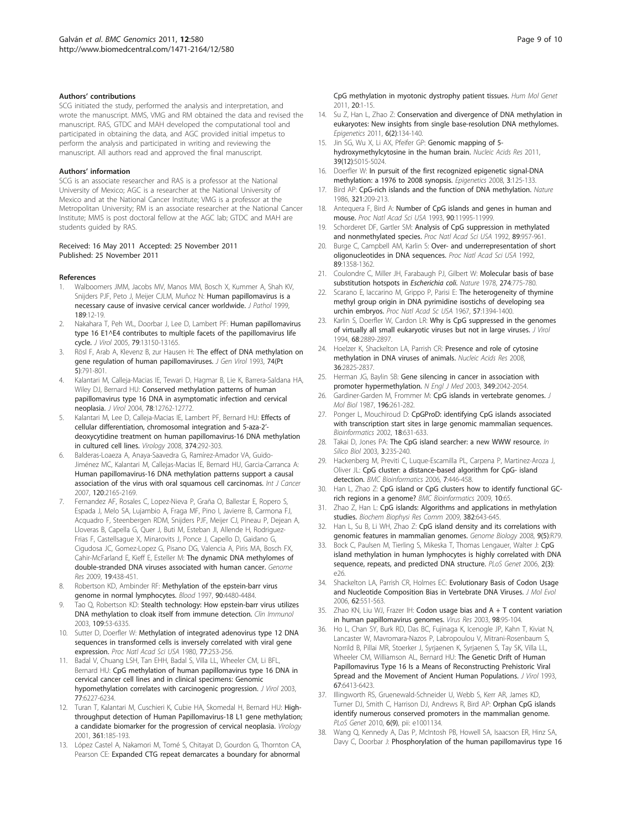#### <span id="page-9-0"></span>Authors' contributions

SCG initiated the study, performed the analysis and interpretation, and wrote the manuscript. MMS, VMG and RM obtained the data and revised the manuscript. RAS, GTDC and MAH developed the computational tool and participated in obtaining the data, and AGC provided initial impetus to perform the analysis and participated in writing and reviewing the manuscript. All authors read and approved the final manuscript.

#### Authors' information

SCG is an associate researcher and RAS is a professor at the National University of Mexico; AGC is a researcher at the National University of Mexico and at the National Cancer Institute; VMG is a professor at the Metropolitan University; RM is an associate researcher at the National Cancer Institute; MMS is post doctoral fellow at the AGC lab; GTDC and MAH are students guided by RAS.

#### Received: 16 May 2011 Accepted: 25 November 2011 Published: 25 November 2011

#### References

- 1. Walboomers JMM, Jacobs MV, Manos MM, Bosch X, Kummer A, Shah KV, Sniiders PJF, Peto J, Meijer CJLM, Muñoz N: [Human papillomavirus is a](http://www.ncbi.nlm.nih.gov/pubmed/10451482?dopt=Abstract) [necessary cause of invasive cervical cancer worldwide.](http://www.ncbi.nlm.nih.gov/pubmed/10451482?dopt=Abstract) J Pathol 1999, 189:12-19.
- 2. Nakahara T, Peh WL, Doorbar J, Lee D, Lambert PF: [Human papillomavirus](http://www.ncbi.nlm.nih.gov/pubmed/16189016?dopt=Abstract) [type 16 E1^E4 contributes to multiple facets of the papillomavirus life](http://www.ncbi.nlm.nih.gov/pubmed/16189016?dopt=Abstract) [cycle.](http://www.ncbi.nlm.nih.gov/pubmed/16189016?dopt=Abstract) J Virol 2005, 79:13150-13165.
- 3. Rösl F, Arab A, Klevenz B, zur Hausen H: [The effect of DNA methylation on](http://www.ncbi.nlm.nih.gov/pubmed/8388016?dopt=Abstract) [gene regulation of human papillomaviruses.](http://www.ncbi.nlm.nih.gov/pubmed/8388016?dopt=Abstract) J Gen Virol 1993, 74(Pt 5):791-801.
- Kalantari M, Calleja-Macias IE, Tewari D, Hagmar B, Lie K, Barrera-Saldana HA, Wiley DJ, Bernard HU: [Conserved methylation patterns of human](http://www.ncbi.nlm.nih.gov/pubmed/15542628?dopt=Abstract) [papillomavirus type 16 DNA in asymptomatic infection and cervical](http://www.ncbi.nlm.nih.gov/pubmed/15542628?dopt=Abstract) [neoplasia.](http://www.ncbi.nlm.nih.gov/pubmed/15542628?dopt=Abstract) J Virol 2004, 78:12762-12772.
- 5. Kalantari M, Lee D, Calleja-Macias IE, Lambert PF, Bernard HU: [Effects of](http://www.ncbi.nlm.nih.gov/pubmed/18242658?dopt=Abstract) [cellular differentiation, chromosomal integration and 5-aza-2](http://www.ncbi.nlm.nih.gov/pubmed/18242658?dopt=Abstract)' [deoxycytidine treatment on human papillomavirus-16 DNA methylation](http://www.ncbi.nlm.nih.gov/pubmed/18242658?dopt=Abstract) [in cultured cell lines.](http://www.ncbi.nlm.nih.gov/pubmed/18242658?dopt=Abstract) Virology 2008, 374:292-303.
- 6. Balderas-Loaeza A, Anaya-Saavedra G, Ramírez-Amador VA, Guido-Jiménez MC, Kalantari M, Callejas-Macias IE, Bernard HU, Garcia-Carranca A: [Human papillomavirus-16 DNA methylation patterns support a causal](http://www.ncbi.nlm.nih.gov/pubmed/17278110?dopt=Abstract) [association of the virus with oral squamous cell carcinomas.](http://www.ncbi.nlm.nih.gov/pubmed/17278110?dopt=Abstract) Int J Cancer 2007, 120:2165-2169.
- Fernandez AF, Rosales C, Lopez-Nieva P, Graña O, Ballestar E, Ropero S, Espada J, Melo SA, Lujambio A, Fraga MF, Pino I, Javierre B, Carmona FJ, Acquadro F, Steenbergen RDM, Snijders PJF, Meijer CJ, Pineau P, Dejean A, Lloveras B, Capella G, Quer J, Buti M, Esteban JI, Allende H, Rodriguez-Frias F, Castellsague X, Minarovits J, Ponce J, Capello D, Gaidano G, Cigudosa JC, Gomez-Lopez G, Pisano DG, Valencia A, Piris MA, Bosch FX, Cahir-McFarland E, Kieff E, Esteller M: [The dynamic DNA methylomes of](http://www.ncbi.nlm.nih.gov/pubmed/19208682?dopt=Abstract) [double-stranded DNA viruses associated with human cancer.](http://www.ncbi.nlm.nih.gov/pubmed/19208682?dopt=Abstract) Genome Res 2009, 19:438-451.
- 8. Robertson KD, Ambinder RF: [Methylation of the epstein-barr virus](http://www.ncbi.nlm.nih.gov/pubmed/9373258?dopt=Abstract) [genome in normal lymphocytes.](http://www.ncbi.nlm.nih.gov/pubmed/9373258?dopt=Abstract) Blood 1997, 90:4480-4484.
- Tao Q, Robertson KD: [Stealth technology: How epstein-barr virus utilizes](http://www.ncbi.nlm.nih.gov/pubmed/14585276?dopt=Abstract) [DNA methylation to cloak itself from immune detection.](http://www.ncbi.nlm.nih.gov/pubmed/14585276?dopt=Abstract) Clin Immunol 2003, 109:53-6335.
- 10. Sutter D, Doerfler W: [Methylation of integrated adenovirus type 12 DNA](http://www.ncbi.nlm.nih.gov/pubmed/6244548?dopt=Abstract) [sequences in transformed cells is inversely correlated with viral gene](http://www.ncbi.nlm.nih.gov/pubmed/6244548?dopt=Abstract) [expression.](http://www.ncbi.nlm.nih.gov/pubmed/6244548?dopt=Abstract) Proc Natl Acad Sci USA 1980, 77:253-256.
- 11. Badal V, Chuang LSH, Tan EHH, Badal S, Villa LL, Wheeler CM, Li BFL, Bernard HU: [CpG methylation of human papillomavirus type 16 DNA in](http://www.ncbi.nlm.nih.gov/pubmed/12743279?dopt=Abstract) [cervical cancer cell lines and in clinical specimens: Genomic](http://www.ncbi.nlm.nih.gov/pubmed/12743279?dopt=Abstract) [hypomethylation correlates with carcinogenic progression.](http://www.ncbi.nlm.nih.gov/pubmed/12743279?dopt=Abstract) J Virol 2003, 77:6227-6234.
- 12. Turan T, Kalantari M, Cuschieri K, Cubie HA, Skomedal H, Bernard HU: Highthroughput detection of Human Papillomavirus-18 L1 gene methylation; a candidate biomarker for the progression of cervical neoplasia. Virology 2001, 361:185-193.
- 13. López Castel A, Nakamori M, Tomé S, Chitayat D, Gourdon G, Thornton CA, Pearson CE: [Expanded CTG repeat demarcates a boundary for abnormal](http://www.ncbi.nlm.nih.gov/pubmed/21044947?dopt=Abstract)

[CpG methylation in myotonic dystrophy patient tissues.](http://www.ncbi.nlm.nih.gov/pubmed/21044947?dopt=Abstract) Hum Mol Genet 2011, 20:1-15.

- 14. Su Z, Han L, Zhao Z: [Conservation and divergence of DNA methylation in](http://www.ncbi.nlm.nih.gov/pubmed/20962593?dopt=Abstract) [eukaryotes: New insights from single base-resolution DNA methylomes.](http://www.ncbi.nlm.nih.gov/pubmed/20962593?dopt=Abstract) Epigenetics 2011, 6(2):134-140.
- 15. Jin SG, Wu X, Li AX, Pfeifer GP: [Genomic mapping of 5](http://www.ncbi.nlm.nih.gov/pubmed/21378125?dopt=Abstract) [hydroxymethylcytosine in the human brain.](http://www.ncbi.nlm.nih.gov/pubmed/21378125?dopt=Abstract) Nucleic Acids Res 2011, 39(12):5015-5024.
- 16. Doerfler W: [In pursuit of the first recognized epigenetic signal-DNA](http://www.ncbi.nlm.nih.gov/pubmed/18487948?dopt=Abstract) [methylation: a 1976 to 2008 synopsis.](http://www.ncbi.nlm.nih.gov/pubmed/18487948?dopt=Abstract) Foigenetics 2008, 3:125-133.
- 17. Bird AP: [CpG-rich islands and the function of DNA methylation.](http://www.ncbi.nlm.nih.gov/pubmed/2423876?dopt=Abstract) Nature 1986, 321:209-213.
- 18. Antequera F, Bird A: [Number of CpG islands and genes in human and](http://www.ncbi.nlm.nih.gov/pubmed/7505451?dopt=Abstract) [mouse.](http://www.ncbi.nlm.nih.gov/pubmed/7505451?dopt=Abstract) Proc Natl Acad Sci USA 1993, 90:11995-11999.
- 19. Schorderet DF, Gartler SM: [Analysis of CpG suppression in methylated](http://www.ncbi.nlm.nih.gov/pubmed/1736311?dopt=Abstract) [and nonmethylated species.](http://www.ncbi.nlm.nih.gov/pubmed/1736311?dopt=Abstract) Proc Natl Acad Sci USA 1992, 89:957-961
- 20. Burge C, Campbell AM, Karlin S: [Over- and underrepresentation of short](http://www.ncbi.nlm.nih.gov/pubmed/1741388?dopt=Abstract) [oligonucleotides in DNA sequences.](http://www.ncbi.nlm.nih.gov/pubmed/1741388?dopt=Abstract) Proc Natl Acad Sci USA 1992, 89:1358-1362.
- 21. Coulondre C, Miller JH, Farabaugh PJ, Gilbert W: [Molecular basis of base](http://www.ncbi.nlm.nih.gov/pubmed/355893?dopt=Abstract) [substitution hotspots in](http://www.ncbi.nlm.nih.gov/pubmed/355893?dopt=Abstract) Escherichia coli. Nature 1978, 274:775-780.
- 22. Scarano E, Iaccarino M, Grippo P, Parisi E: The heterogeneity of thymine methyl group origin in DNA pyrimidine isostichs of developing sea urchin embryos. Proc Natl Acad Sc USA 1967, 57:1394-1400.
- 23. Karlin S, Doerfler W, Cardon LR: [Why is CpG suppressed in the genomes](http://www.ncbi.nlm.nih.gov/pubmed/8151759?dopt=Abstract) [of virtually all small eukaryotic viruses but not in large viruses.](http://www.ncbi.nlm.nih.gov/pubmed/8151759?dopt=Abstract) J Virol 1994, 68:2889-2897.
- 24. Hoelzer K, Shackelton LA, Parrish CR: [Presence and role of cytosine](http://www.ncbi.nlm.nih.gov/pubmed/18367473?dopt=Abstract) [methylation in DNA viruses of animals.](http://www.ncbi.nlm.nih.gov/pubmed/18367473?dopt=Abstract) Nucleic Acids Res 2008, 36:2825-2837.
- 25. Herman JG, Baylin SB: [Gene silencing in cancer in association with](http://www.ncbi.nlm.nih.gov/pubmed/14627790?dopt=Abstract) [promoter hypermethylation.](http://www.ncbi.nlm.nih.gov/pubmed/14627790?dopt=Abstract) N Engl J Med 2003, 349:2042-2054.
- 26. Gardiner-Garden M, Frommer M: [CpG islands in vertebrate genomes.](http://www.ncbi.nlm.nih.gov/pubmed/3656447?dopt=Abstract) J Mol Biol 1987, 196:261-282.
- 27. Ponger L, Mouchiroud D: [CpGProD: identifying CpG islands associated](http://www.ncbi.nlm.nih.gov/pubmed/12016061?dopt=Abstract) [with transcription start sites in large genomic mammalian sequences.](http://www.ncbi.nlm.nih.gov/pubmed/12016061?dopt=Abstract) Bioinformatics 2002, 18:631-633.
- 28. Takai D, Jones PA: [The CpG island searcher: a new WWW resource.](http://www.ncbi.nlm.nih.gov/pubmed/12954087?dopt=Abstract) In Silico Biol 2003, 3:235-240.
- 29. Hackenberg M, Previti C, Luque-Escamilla PL, Carpena P, Martinez-Aroza J, Oliver JL: [CpG cluster: a distance-based algorithm for CpG- island](http://www.ncbi.nlm.nih.gov/pubmed/17038168?dopt=Abstract) [detection.](http://www.ncbi.nlm.nih.gov/pubmed/17038168?dopt=Abstract) BMC Bioinformatics 2006, 7:446-458.
- 30. Han L, Zhao Z: [CpG island or CpG clusters how to identify functional GC](http://www.ncbi.nlm.nih.gov/pubmed/19232104?dopt=Abstract)[rich regions in a genome?](http://www.ncbi.nlm.nih.gov/pubmed/19232104?dopt=Abstract) BMC Bioinformatics 2009, 10:65.
- 31. Zhao Z, Han L: CpG islands: Algorithms and applications in methylation studies. Biochem Biophysi Res Comm 2009, 382:643-645.
- 32. Han L, Su B, Li WH, Zhao Z: [CpG island density and its correlations with](http://www.ncbi.nlm.nih.gov/pubmed/18477403?dopt=Abstract) [genomic features in mammalian genomes.](http://www.ncbi.nlm.nih.gov/pubmed/18477403?dopt=Abstract) Genome Biology 2008, 9(5):R79.
- 33. Bock C, Paulsen M, Tierling S, Mikeska T, Thomas Lengauer, Walter J: [CpG](http://www.ncbi.nlm.nih.gov/pubmed/16520826?dopt=Abstract) [island methylation in human lymphocytes is highly correlated with DNA](http://www.ncbi.nlm.nih.gov/pubmed/16520826?dopt=Abstract) [sequence, repeats, and predicted DNA structure.](http://www.ncbi.nlm.nih.gov/pubmed/16520826?dopt=Abstract) PLoS Genet 2006, 2(3): e26.
- 34. Shackelton LA, Parrish CR, Holmes EC: [Evolutionary Basis of Codon Usage](http://www.ncbi.nlm.nih.gov/pubmed/16557338?dopt=Abstract) [and Nucleotide Composition Bias in Vertebrate DNA Viruses.](http://www.ncbi.nlm.nih.gov/pubmed/16557338?dopt=Abstract) J Mol Evol 2006, 62:551-563.
- 35. Zhao KN, Liu WJ, Frazer IH: [Codon usage bias and A + T content variation](http://www.ncbi.nlm.nih.gov/pubmed/14659556?dopt=Abstract) [in human papillomavirus genomes.](http://www.ncbi.nlm.nih.gov/pubmed/14659556?dopt=Abstract) Virus Res 2003, 98:95-104.
- 36. Ho L, Chan SY, Burk RD, Das BC, Fujinaga K, Icenogle JP, Kahn T, Kiviat N, Lancaster W, Mavromara-Nazos P, Labropoulou V, Mitrani-Rosenbaum S, Norrild B, Pillai MR, Stoerker J, Syrjaenen K, Syrjaenen S, Tay SK, Villa LL, Wheeler CM, Williamson AL, Bernard HU: [The Genetic Drift of Human](http://www.ncbi.nlm.nih.gov/pubmed/8411343?dopt=Abstract) [Papillomavirus Type 16 Is a Means of Reconstructing Prehistoric Viral](http://www.ncbi.nlm.nih.gov/pubmed/8411343?dopt=Abstract) [Spread and the Movement of Ancient Human Populations.](http://www.ncbi.nlm.nih.gov/pubmed/8411343?dopt=Abstract) J Virol 1993, 67:6413-6423.
- 37. Illingworth RS, Gruenewald-Schneider U, Webb S, Kerr AR, James KD, Turner DJ, Smith C, Harrison DJ, Andrews R, Bird AP: Orphan CpG islands identify numerous conserved promoters in the mammalian genome. PLoS Genet 2010, 6(9), pii: e1001134.
- 38. Wang Q, Kennedy A, Das P, McIntosh PB, Howell SA, Isaacson ER, Hinz SA, Davy C, Doorbar J: [Phosphorylation of the human papillomavirus type 16](http://www.ncbi.nlm.nih.gov/pubmed/19211765?dopt=Abstract)